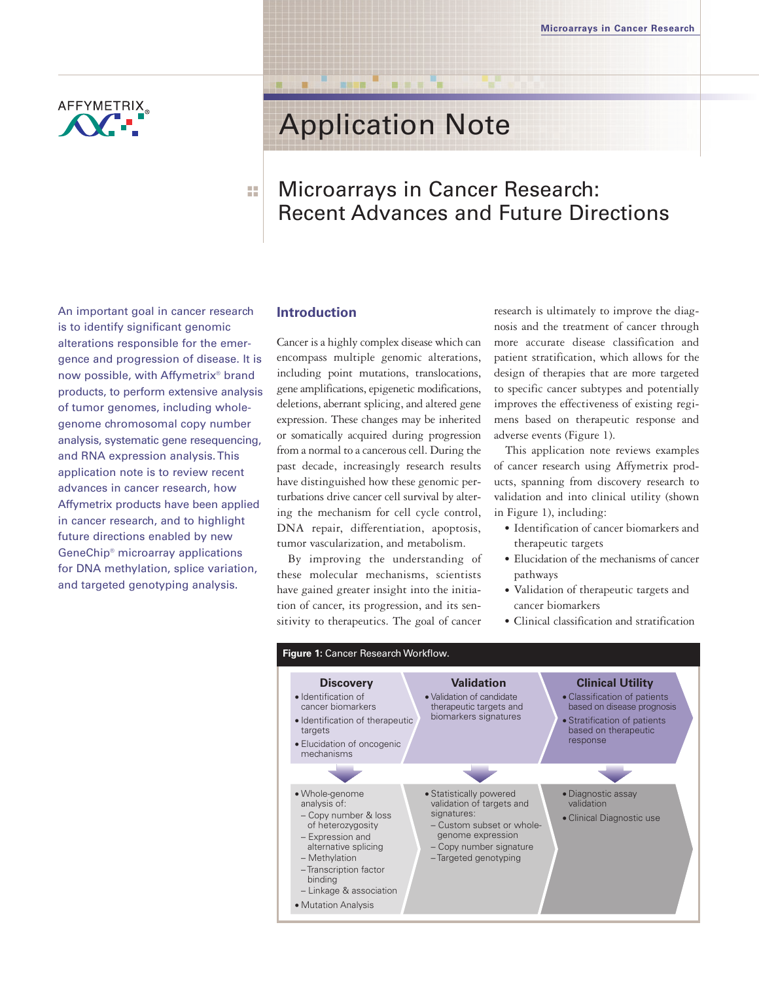

# Application Note

## Microarrays in Cancer Research: Recent Advances and Future Directions

An important goal in cancer research is to identify significant genomic alterations responsible for the emergence and progression of disease. It is now possible, with Affymetrix® brand products, to perform extensive analysis of tumor genomes, including wholegenome chromosomal copy number analysis, systematic gene resequencing, and RNA expression analysis. This application note is to review recent advances in cancer research, how Affymetrix products have been applied in cancer research, and to highlight future directions enabled by new GeneChip® microarray applications for DNA methylation, splice variation, and targeted genotyping analysis.

## **Introduction**

■ ■ ■ ■

Cancer is a highly complex disease which can encompass multiple genomic alterations, including point mutations, translocations, gene amplifications, epigenetic modifications, deletions, aberrant splicing, and altered gene expression. These changes may be inherited or somatically acquired during progression from a normal to a cancerous cell. During the past decade, increasingly research results have distinguished how these genomic perturbations drive cancer cell survival by altering the mechanism for cell cycle control, DNA repair, differentiation, apoptosis, tumor vascularization, and metabolism.

By improving the understanding of these molecular mechanisms, scientists have gained greater insight into the initiation of cancer, its progression, and its sensitivity to therapeutics. The goal of cancer research is ultimately to improve the diagnosis and the treatment of cancer through more accurate disease classification and patient stratification, which allows for the design of therapies that are more targeted to specific cancer subtypes and potentially improves the effectiveness of existing regimens based on therapeutic response and adverse events (Figure 1).

This application note reviews examples of cancer research using Affymetrix products, spanning from discovery research to validation and into clinical utility (shown in Figure 1), including:

- Identification of cancer biomarkers and therapeutic targets
- Elucidation of the mechanisms of cancer pathways
- Validation of therapeutic targets and cancer biomarkers
- Clinical classification and stratification

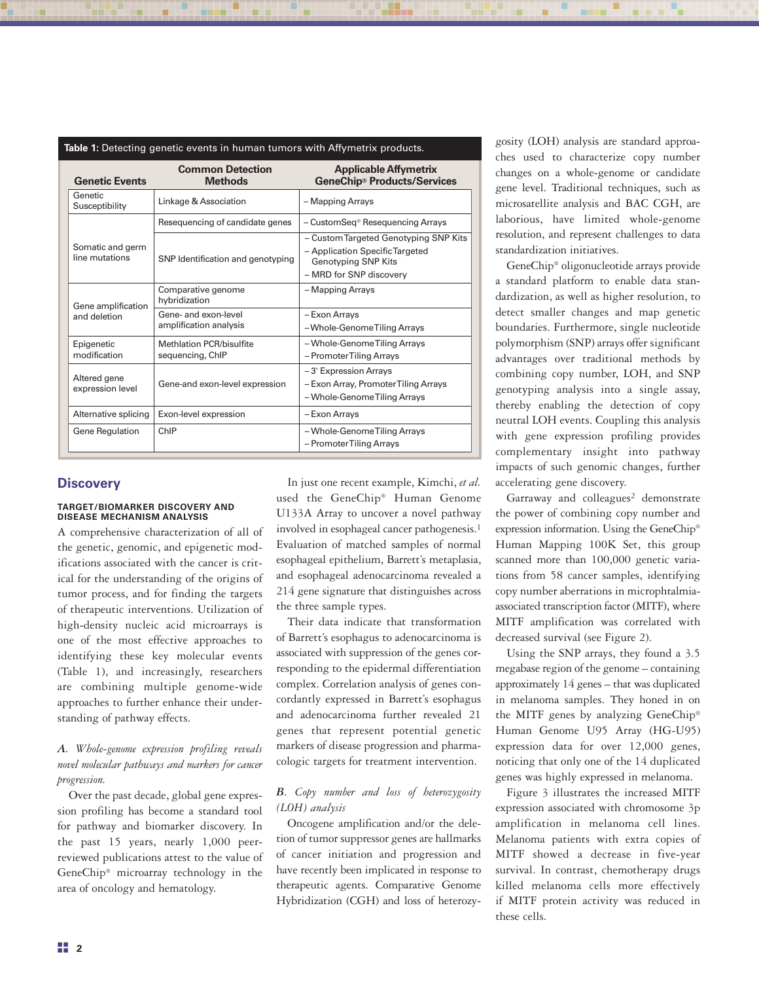| Table 1: Detecting genetic events in human tumors with Affymetrix products. |                                                     |                                                                                                                                   |
|-----------------------------------------------------------------------------|-----------------------------------------------------|-----------------------------------------------------------------------------------------------------------------------------------|
| <b>Genetic Events</b>                                                       | <b>Common Detection</b><br><b>Methods</b>           | <b>Applicable Affymetrix</b><br><b>GeneChip® Products/Services</b>                                                                |
| Genetic<br>Susceptibility                                                   | Linkage & Association                               | - Mapping Arrays                                                                                                                  |
| Somatic and germ<br>line mutations                                          | Resequencing of candidate genes                     | - CustomSeq® Resequencing Arrays                                                                                                  |
|                                                                             | SNP Identification and genotyping                   | - Custom Targeted Genotyping SNP Kits<br>- Application Specific Targeted<br><b>Genotyping SNP Kits</b><br>- MRD for SNP discovery |
| Gene amplification<br>and deletion                                          | Comparative genome<br>hybridization                 | - Mapping Arrays                                                                                                                  |
|                                                                             | Gene- and exon-level<br>amplification analysis      | - Exon Arrays<br>-Whole-Genome Tiling Arrays                                                                                      |
| Epigenetic<br>modification                                                  | <b>Methlation PCR/bisulfite</b><br>sequencing, ChIP | - Whole-Genome Tiling Arrays<br>- Promoter Tiling Arrays                                                                          |
| Altered gene<br>expression level                                            | Gene-and exon-level expression                      | -3' Expression Arrays<br>- Exon Array, Promoter Tiling Arrays<br>- Whole-Genome Tiling Arrays                                     |
| Alternative splicing                                                        | Exon-level expression                               | - Exon Arrays                                                                                                                     |
| Gene Regulation                                                             | ChIP                                                | - Whole-Genome Tiling Arrays<br>- Promoter Tiling Arrays                                                                          |

## **Discovery**

#### **TARGET/BIOMARKER DISCOVERY AND DISEASE MECHANISM ANALYSIS**

A comprehensive characterization of all of the genetic, genomic, and epigenetic modifications associated with the cancer is critical for the understanding of the origins of tumor process, and for finding the targets of therapeutic interventions. Utilization of high-density nucleic acid microarrays is one of the most effective approaches to identifying these key molecular events (Table 1), and increasingly, researchers are combining multiple genome-wide approaches to further enhance their understanding of pathway effects.

## *A. Whole-genome expression profiling reveals novel molecular pathways and markers for cancer progression.*

Over the past decade, global gene expression profiling has become a standard tool for pathway and biomarker discovery. In the past 15 years, nearly 1,000 peerreviewed publications attest to the value of GeneChip® microarray technology in the area of oncology and hematology.

In just one recent example, Kimchi, *et al.* used the GeneChip® Human Genome U133A Array to uncover a novel pathway involved in esophageal cancer pathogenesis.1 Evaluation of matched samples of normal esophageal epithelium, Barrett's metaplasia, and esophageal adenocarcinoma revealed a 214 gene signature that distinguishes across the three sample types.

Their data indicate that transformation of Barrett's esophagus to adenocarcinoma is associated with suppression of the genes corresponding to the epidermal differentiation complex. Correlation analysis of genes concordantly expressed in Barrett's esophagus and adenocarcinoma further revealed 21 genes that represent potential genetic markers of disease progression and pharmacologic targets for treatment intervention.

## *B. Copy number and loss of heterozygosity (LOH) analysis*

Oncogene amplification and/or the deletion of tumor suppressor genes are hallmarks of cancer initiation and progression and have recently been implicated in response to therapeutic agents. Comparative Genome Hybridization (CGH) and loss of heterozygosity (LOH) analysis are standard approaches used to characterize copy number changes on a whole-genome or candidate gene level. Traditional techniques, such as microsatellite analysis and BAC CGH, are laborious, have limited whole-genome resolution, and represent challenges to data standardization initiatives.

GeneChip® oligonucleotide arrays provide a standard platform to enable data standardization, as well as higher resolution, to detect smaller changes and map genetic boundaries. Furthermore, single nucleotide polymorphism (SNP) arrays offer significant advantages over traditional methods by combining copy number, LOH, and SNP genotyping analysis into a single assay, thereby enabling the detection of copy neutral LOH events. Coupling this analysis with gene expression profiling provides complementary insight into pathway impacts of such genomic changes, further accelerating gene discovery.

Garraway and colleagues<sup>2</sup> demonstrate the power of combining copy number and expression information. Using the GeneChip® Human Mapping 100K Set, this group scanned more than 100,000 genetic variations from 58 cancer samples, identifying copy number aberrations in microphtalmiaassociated transcription factor (MITF), where MITF amplification was correlated with decreased survival (see Figure 2).

Using the SNP arrays, they found a 3.5 megabase region of the genome – containing approximately 14 genes – that was duplicated in melanoma samples. They honed in on the MITF genes by analyzing GeneChip® Human Genome U95 Array (HG-U95) expression data for over 12,000 genes, noticing that only one of the 14 duplicated genes was highly expressed in melanoma.

Figure 3 illustrates the increased MITF expression associated with chromosome 3p amplification in melanoma cell lines. Melanoma patients with extra copies of MITF showed a decrease in five-year survival. In contrast, chemotherapy drugs killed melanoma cells more effectively if MITF protein activity was reduced in these cells.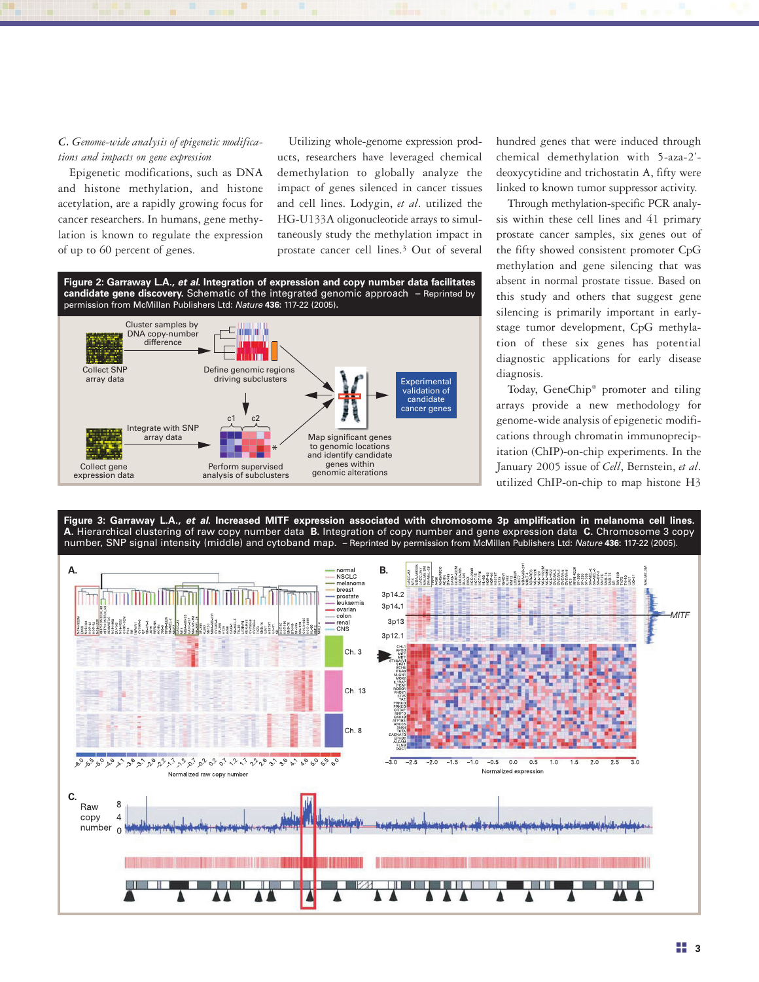## *C. Genome-wide analysis of epigenetic modifications and impacts on gene expression*

Epigenetic modifications, such as DNA and histone methylation, and histone acetylation, are a rapidly growing focus for cancer researchers. In humans, gene methylation is known to regulate the expression of up to 60 percent of genes.

Utilizing whole-genome expression products, researchers have leveraged chemical demethylation to globally analyze the impact of genes silenced in cancer tissues and cell lines. Lodygin, *et al*. utilized the HG-U133A oligonucleotide arrays to simultaneously study the methylation impact in prostate cancer cell lines.3 Out of several



hundred genes that were induced through chemical demethylation with 5-aza-2' deoxycytidine and trichostatin A, fifty were linked to known tumor suppressor activity.

Through methylation-specific PCR analysis within these cell lines and 41 primary prostate cancer samples, six genes out of the fifty showed consistent promoter CpG methylation and gene silencing that was absent in normal prostate tissue. Based on this study and others that suggest gene silencing is primarily important in earlystage tumor development, CpG methylation of these six genes has potential diagnostic applications for early disease diagnosis.

Today, GeneChip® promoter and tiling arrays provide a new methodology for genome-wide analysis of epigenetic modifications through chromatin immunoprecipitation (ChIP)-on-chip experiments. In the January 2005 issue of *Cell*, Bernstein, *et al*. utilized ChIP-on-chip to map histone H3

**Figure 3: Garraway L.A.,** *et al***. Increased MITF expression associated with chromosome 3p amplification in melanoma cell lines. A.** Hierarchical clustering of raw copy number data **B.** Integration of copy number and gene expression data **C.** Chromosome 3 copy number, SNP signal intensity (middle) and cytoband map. – Reprinted by permission from McMillan Publishers Ltd: *Nature* **436:** 117-22 (2005).

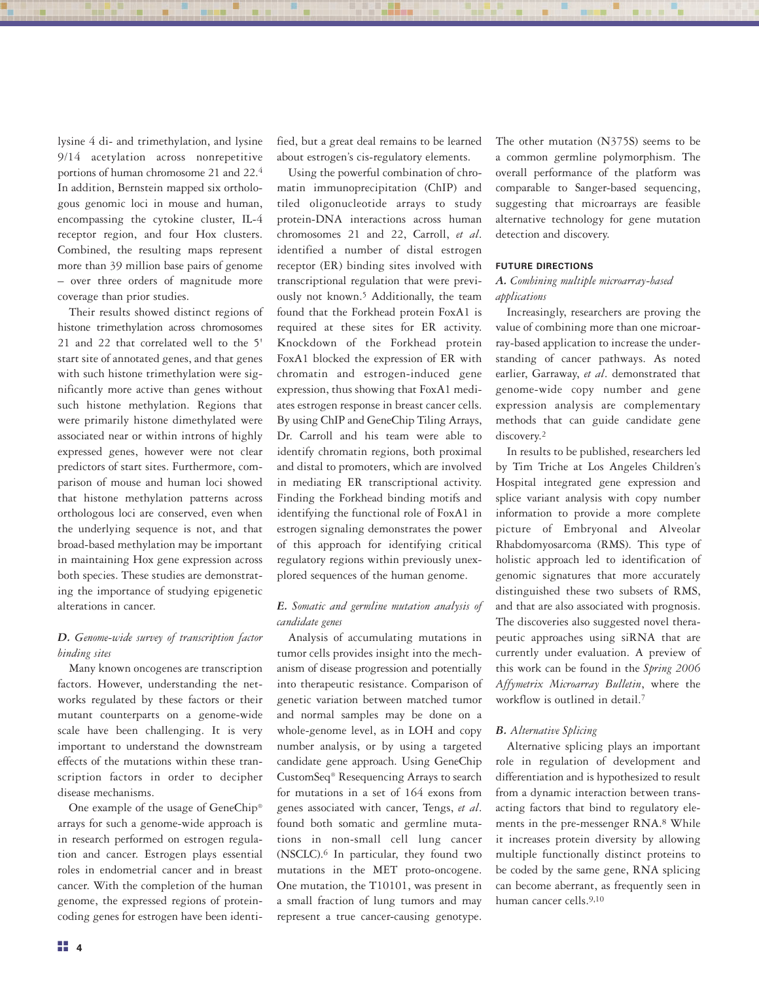lysine 4 di- and trimethylation, and lysine 9/14 acetylation across nonrepetitive portions of human chromosome 21 and 22.4 In addition, Bernstein mapped six orthologous genomic loci in mouse and human, encompassing the cytokine cluster, IL-4 receptor region, and four Hox clusters. Combined, the resulting maps represent more than 39 million base pairs of genome – over three orders of magnitude more coverage than prior studies.

Their results showed distinct regions of histone trimethylation across chromosomes 21 and 22 that correlated well to the 5' start site of annotated genes, and that genes with such histone trimethylation were significantly more active than genes without such histone methylation. Regions that were primarily histone dimethylated were associated near or within introns of highly expressed genes, however were not clear predictors of start sites. Furthermore, comparison of mouse and human loci showed that histone methylation patterns across orthologous loci are conserved, even when the underlying sequence is not, and that broad-based methylation may be important in maintaining Hox gene expression across both species. These studies are demonstrating the importance of studying epigenetic alterations in cancer.

## *D. Genome-wide survey of transcription factor binding sites*

Many known oncogenes are transcription factors. However, understanding the networks regulated by these factors or their mutant counterparts on a genome-wide scale have been challenging. It is very important to understand the downstream effects of the mutations within these transcription factors in order to decipher disease mechanisms.

One example of the usage of GeneChip® arrays for such a genome-wide approach is in research performed on estrogen regulation and cancer. Estrogen plays essential roles in endometrial cancer and in breast cancer. With the completion of the human genome, the expressed regions of proteincoding genes for estrogen have been identified, but a great deal remains to be learned about estrogen's cis-regulatory elements.

Using the powerful combination of chromatin immunoprecipitation (ChIP) and tiled oligonucleotide arrays to study protein-DNA interactions across human chromosomes 21 and 22, Carroll, *et al*. identified a number of distal estrogen receptor (ER) binding sites involved with transcriptional regulation that were previously not known.5 Additionally, the team found that the Forkhead protein FoxA1 is required at these sites for ER activity. Knockdown of the Forkhead protein FoxA1 blocked the expression of ER with chromatin and estrogen-induced gene expression, thus showing that FoxA1 mediates estrogen response in breast cancer cells. By using ChIP and GeneChip Tiling Arrays, Dr. Carroll and his team were able to identify chromatin regions, both proximal and distal to promoters, which are involved in mediating ER transcriptional activity. Finding the Forkhead binding motifs and identifying the functional role of FoxA1 in estrogen signaling demonstrates the power of this approach for identifying critical regulatory regions within previously unexplored sequences of the human genome.

## *E. Somatic and germline mutation analysis of candidate genes*

Analysis of accumulating mutations in tumor cells provides insight into the mechanism of disease progression and potentially into therapeutic resistance. Comparison of genetic variation between matched tumor and normal samples may be done on a whole-genome level, as in LOH and copy number analysis, or by using a targeted candidate gene approach. Using GeneChip CustomSeq® Resequencing Arrays to search for mutations in a set of 164 exons from genes associated with cancer, Tengs, *et al*. found both somatic and germline mutations in non-small cell lung cancer (NSCLC). $^6$  In particular, they found two mutations in the MET proto-oncogene. One mutation, the T10101, was present in a small fraction of lung tumors and may represent a true cancer-causing genotype.

The other mutation (N375S) seems to be a common germline polymorphism. The overall performance of the platform was comparable to Sanger-based sequencing, suggesting that microarrays are feasible alternative technology for gene mutation detection and discovery.

#### **FUTURE DIRECTIONS**

## *A. Combining multiple microarray-based applications*

Increasingly, researchers are proving the value of combining more than one microarray-based application to increase the understanding of cancer pathways. As noted earlier, Garraway, *et al*. demonstrated that genome-wide copy number and gene expression analysis are complementary methods that can guide candidate gene discovery.2

In results to be published, researchers led by Tim Triche at Los Angeles Children's Hospital integrated gene expression and splice variant analysis with copy number information to provide a more complete picture of Embryonal and Alveolar Rhabdomyosarcoma (RMS). This type of holistic approach led to identification of genomic signatures that more accurately distinguished these two subsets of RMS, and that are also associated with prognosis. The discoveries also suggested novel therapeutic approaches using siRNA that are currently under evaluation. A preview of this work can be found in the *Spring 2006 Affymetrix Microarray Bulletin*, where the workflow is outlined in detail.<sup>7</sup>

#### *B. Alternative Splicing*

Alternative splicing plays an important role in regulation of development and differentiation and is hypothesized to result from a dynamic interaction between transacting factors that bind to regulatory elements in the pre-messenger RNA.8 While it increases protein diversity by allowing multiple functionally distinct proteins to be coded by the same gene, RNA splicing can become aberrant, as frequently seen in human cancer cells.9,10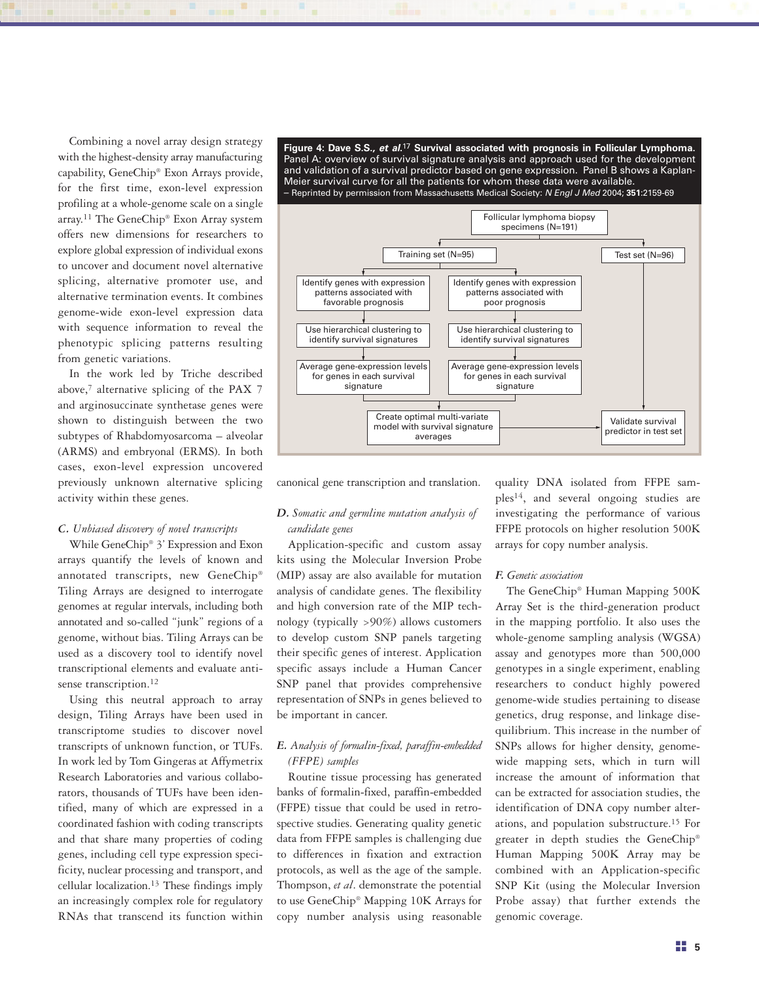Combining a novel array design strategy with the highest-density array manufacturing capability, GeneChip® Exon Arrays provide, for the first time, exon-level expression profiling at a whole-genome scale on a single array.11 The GeneChip® Exon Array system offers new dimensions for researchers to explore global expression of individual exons to uncover and document novel alternative splicing, alternative promoter use, and alternative termination events. It combines genome-wide exon-level expression data with sequence information to reveal the phenotypic splicing patterns resulting from genetic variations.

In the work led by Triche described above,<sup>7</sup> alternative splicing of the PAX 7 and arginosuccinate synthetase genes were shown to distinguish between the two subtypes of Rhabdomyosarcoma – alveolar (ARMS) and embryonal (ERMS). In both cases, exon-level expression uncovered previously unknown alternative splicing activity within these genes.

#### *C. Unbiased discovery of novel transcripts*

While GeneChip® 3' Expression and Exon arrays quantify the levels of known and annotated transcripts, new GeneChip® Tiling Arrays are designed to interrogate genomes at regular intervals, including both annotated and so-called "junk" regions of a genome, without bias. Tiling Arrays can be used as a discovery tool to identify novel transcriptional elements and evaluate antisense transcription.<sup>12</sup>

Using this neutral approach to array design, Tiling Arrays have been used in transcriptome studies to discover novel transcripts of unknown function, or TUFs. In work led by Tom Gingeras at Affymetrix Research Laboratories and various collaborators, thousands of TUFs have been identified, many of which are expressed in a coordinated fashion with coding transcripts and that share many properties of coding genes, including cell type expression specificity, nuclear processing and transport, and cellular localization.13 These findings imply an increasingly complex role for regulatory RNAs that transcend its function within

**Figure 4: Dave S.S.,** *et al***.**17 **Survival associated with prognosis in Follicular Lymphoma.** Panel A: overview of survival signature analysis and approach used for the development and validation of a survival predictor based on gene expression. Panel B shows a Kaplan-Meier survival curve for all the patients for whom these data were available. – Reprinted by permission from Massachusetts Medical Society: *N Engl J Med* 2004; **351**:2159-69



canonical gene transcription and translation.

## *D. Somatic and germline mutation analysis of candidate genes*

Application-specific and custom assay kits using the Molecular Inversion Probe (MIP) assay are also available for mutation analysis of candidate genes. The flexibility and high conversion rate of the MIP technology (typically >90%) allows customers to develop custom SNP panels targeting their specific genes of interest. Application specific assays include a Human Cancer SNP panel that provides comprehensive representation of SNPs in genes believed to be important in cancer.

## *E. Analysis of formalin-fixed, paraffin-embedded (FFPE) samples*

Routine tissue processing has generated banks of formalin-fixed, paraffin-embedded (FFPE) tissue that could be used in retrospective studies. Generating quality genetic data from FFPE samples is challenging due to differences in fixation and extraction protocols, as well as the age of the sample. Thompson, *et al*. demonstrate the potential to use GeneChip® Mapping 10K Arrays for copy number analysis using reasonable

quality DNA isolated from FFPE samples14, and several ongoing studies are investigating the performance of various FFPE protocols on higher resolution 500K arrays for copy number analysis.

#### *F. Genetic association*

The GeneChip® Human Mapping 500K Array Set is the third-generation product in the mapping portfolio. It also uses the whole-genome sampling analysis (WGSA) assay and genotypes more than 500,000 genotypes in a single experiment, enabling researchers to conduct highly powered genome-wide studies pertaining to disease genetics, drug response, and linkage disequilibrium. This increase in the number of SNPs allows for higher density, genomewide mapping sets, which in turn will increase the amount of information that can be extracted for association studies, the identification of DNA copy number alterations, and population substructure.15 For greater in depth studies the GeneChip® Human Mapping 500K Array may be combined with an Application-specific SNP Kit (using the Molecular Inversion Probe assay) that further extends the genomic coverage.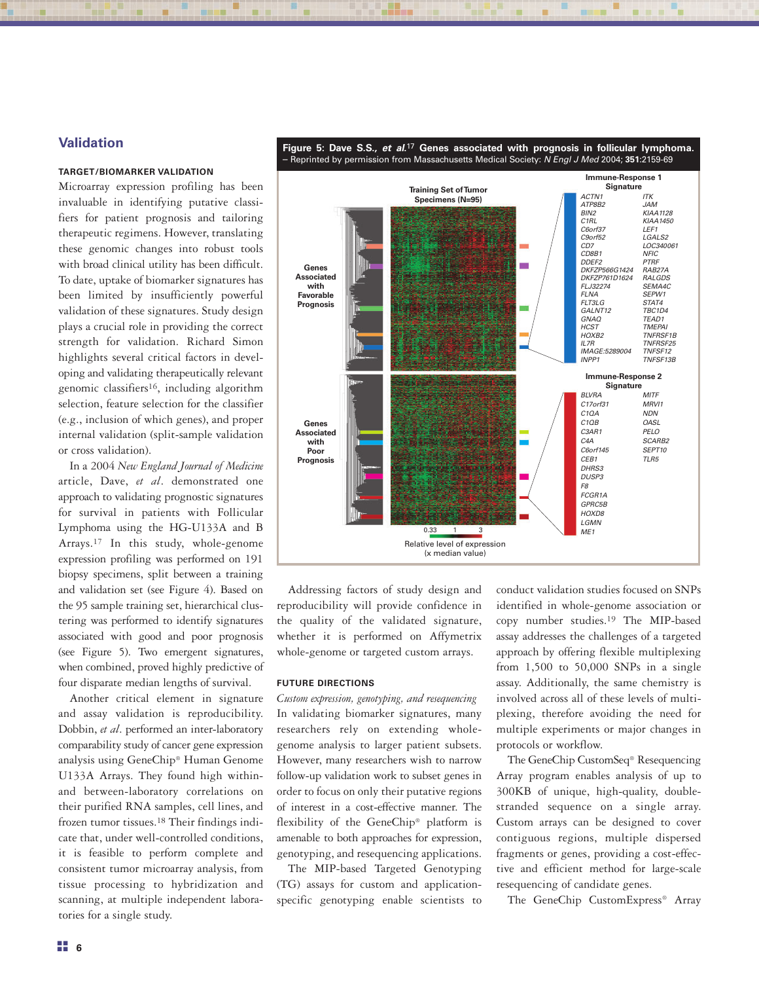## **Validation**

## **TARGET/BIOMARKER VALIDATION**

Microarray expression profiling has been invaluable in identifying putative classifiers for patient prognosis and tailoring therapeutic regimens. However, translating these genomic changes into robust tools with broad clinical utility has been difficult. To date, uptake of biomarker signatures has been limited by insufficiently powerful validation of these signatures. Study design plays a crucial role in providing the correct strength for validation. Richard Simon highlights several critical factors in developing and validating therapeutically relevant genomic classifiers16, including algorithm selection, feature selection for the classifier (e.g., inclusion of which genes), and proper internal validation (split-sample validation or cross validation).

In a 2004 *New England Journal of Medicine* article, Dave, *et al*. demonstrated one approach to validating prognostic signatures for survival in patients with Follicular Lymphoma using the HG-U133A and B Arrays.17 In this study, whole-genome expression profiling was performed on 191 biopsy specimens, split between a training and validation set (see Figure 4). Based on the 95 sample training set, hierarchical clustering was performed to identify signatures associated with good and poor prognosis (see Figure 5). Two emergent signatures, when combined, proved highly predictive of four disparate median lengths of survival.

Another critical element in signature and assay validation is reproducibility. Dobbin, *et al*. performed an inter-laboratory comparability study of cancer gene expression analysis using GeneChip® Human Genome U133A Arrays. They found high withinand between-laboratory correlations on their purified RNA samples, cell lines, and frozen tumor tissues.18 Their findings indicate that, under well-controlled conditions, it is feasible to perform complete and consistent tumor microarray analysis, from tissue processing to hybridization and scanning, at multiple independent laboratories for a single study.



Addressing factors of study design and reproducibility will provide confidence in the quality of the validated signature, whether it is performed on Affymetrix whole-genome or targeted custom arrays.

#### **FUTURE DIRECTIONS**

*Custom expression, genotyping, and resequencing* In validating biomarker signatures, many researchers rely on extending wholegenome analysis to larger patient subsets. However, many researchers wish to narrow follow-up validation work to subset genes in order to focus on only their putative regions of interest in a cost-effective manner. The flexibility of the GeneChip® platform is amenable to both approaches for expression, genotyping, and resequencing applications.

The MIP-based Targeted Genotyping (TG) assays for custom and applicationspecific genotyping enable scientists to conduct validation studies focused on SNPs identified in whole-genome association or copy number studies.19 The MIP-based assay addresses the challenges of a targeted approach by offering flexible multiplexing from 1,500 to 50,000 SNPs in a single assay. Additionally, the same chemistry is involved across all of these levels of multiplexing, therefore avoiding the need for multiple experiments or major changes in protocols or workflow.

The GeneChip CustomSeq® Resequencing Array program enables analysis of up to 300KB of unique, high-quality, doublestranded sequence on a single array. Custom arrays can be designed to cover contiguous regions, multiple dispersed fragments or genes, providing a cost-effective and efficient method for large-scale resequencing of candidate genes.

The GeneChip CustomExpress® Array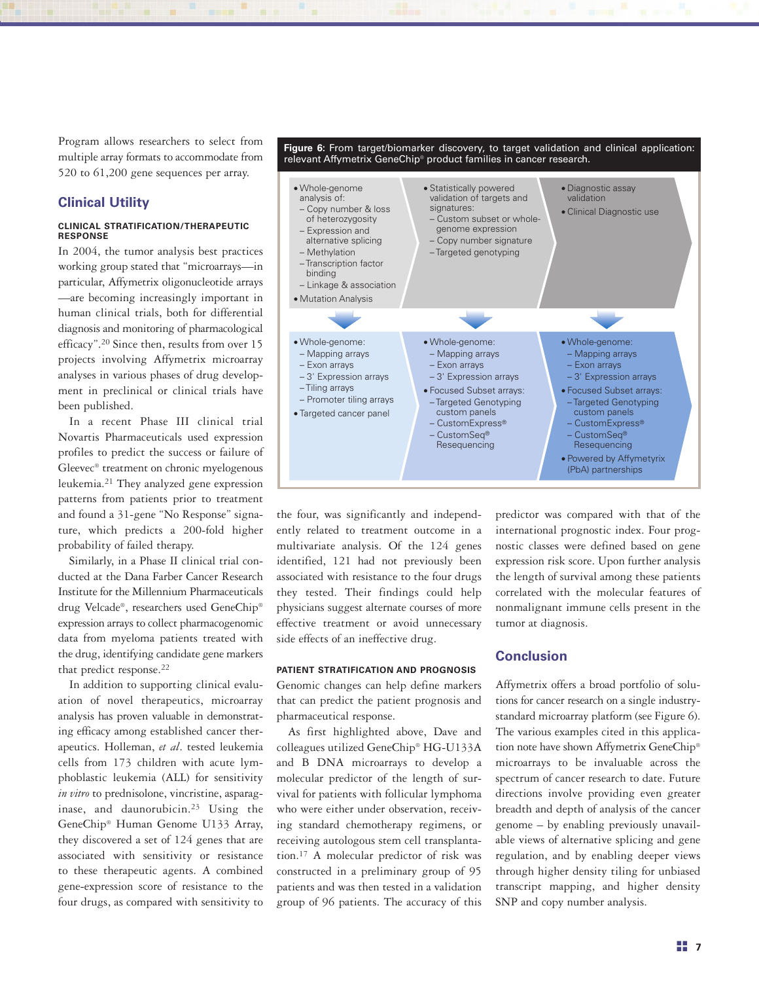Program allows researchers to select from multiple array formats to accommodate from 520 to 61,200 gene sequences per array.

## **Clinical Utility**

#### **CLINICAL STRATIFICATION/THERAPEUTIC RESPONSE**

In 2004, the tumor analysis best practices working group stated that "microarrays—in particular, Affymetrix oligonucleotide arrays —are becoming increasingly important in human clinical trials, both for differential diagnosis and monitoring of pharmacological efficacy".20 Since then, results from over 15 projects involving Affymetrix microarray analyses in various phases of drug development in preclinical or clinical trials have been published.

In a recent Phase III clinical trial Novartis Pharmaceuticals used expression profiles to predict the success or failure of Gleevec® treatment on chronic myelogenous leukemia.21 They analyzed gene expression patterns from patients prior to treatment and found a 31-gene "No Response" signature, which predicts a 200-fold higher probability of failed therapy.

Similarly, in a Phase II clinical trial conducted at the Dana Farber Cancer Research Institute for the Millennium Pharmaceuticals drug Velcade®, researchers used GeneChip® expression arrays to collect pharmacogenomic data from myeloma patients treated with the drug, identifying candidate gene markers that predict response.22

In addition to supporting clinical evaluation of novel therapeutics, microarray analysis has proven valuable in demonstrating efficacy among established cancer therapeutics. Holleman, *et al*. tested leukemia cells from 173 children with acute lymphoblastic leukemia (ALL) for sensitivity *in vitro* to prednisolone, vincristine, asparaginase, and daunorubicin.23 Using the GeneChip® Human Genome U133 Array, they discovered a set of 124 genes that are associated with sensitivity or resistance to these therapeutic agents. A combined gene-expression score of resistance to the four drugs, as compared with sensitivity to



the four, was significantly and independently related to treatment outcome in a multivariate analysis. Of the 124 genes identified, 121 had not previously been associated with resistance to the four drugs they tested. Their findings could help physicians suggest alternate courses of more effective treatment or avoid unnecessary side effects of an ineffective drug.

#### **PATIENT STRATIFICATION AND PROGNOSIS**

Genomic changes can help define markers that can predict the patient prognosis and pharmaceutical response.

As first highlighted above, Dave and colleagues utilized GeneChip® HG-U133A and B DNA microarrays to develop a molecular predictor of the length of survival for patients with follicular lymphoma who were either under observation, receiving standard chemotherapy regimens, or receiving autologous stem cell transplantation.17 A molecular predictor of risk was constructed in a preliminary group of 95 patients and was then tested in a validation group of 96 patients. The accuracy of this predictor was compared with that of the international prognostic index. Four prognostic classes were defined based on gene expression risk score. Upon further analysis the length of survival among these patients correlated with the molecular features of nonmalignant immune cells present in the tumor at diagnosis.

## **Conclusion**

Affymetrix offers a broad portfolio of solutions for cancer research on a single industrystandard microarray platform (see Figure 6). The various examples cited in this application note have shown Affymetrix GeneChip® microarrays to be invaluable across the spectrum of cancer research to date. Future directions involve providing even greater breadth and depth of analysis of the cancer genome – by enabling previously unavailable views of alternative splicing and gene regulation, and by enabling deeper views through higher density tiling for unbiased transcript mapping, and higher density SNP and copy number analysis.